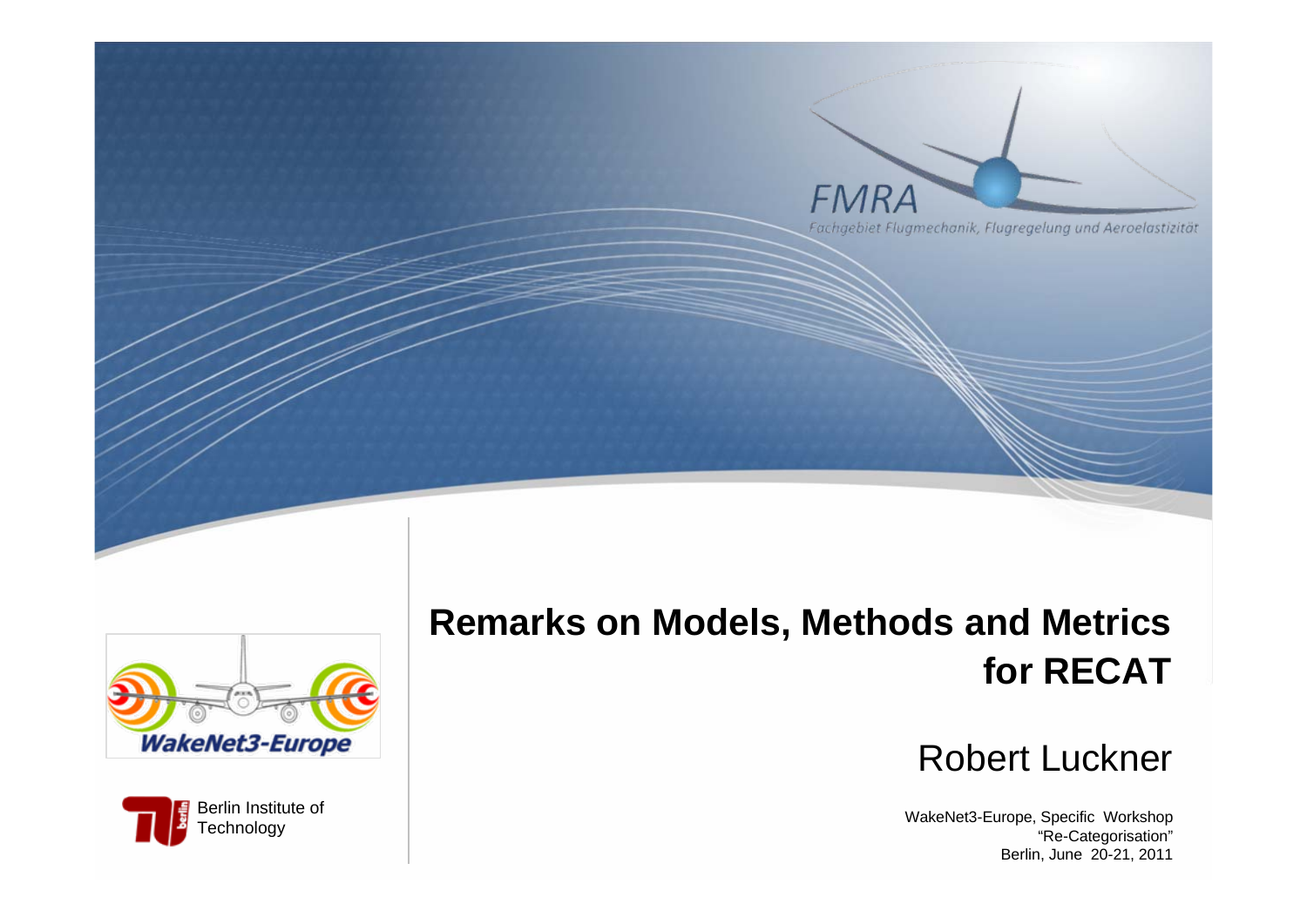



Berlin Institute of **Technology** 

# **Remarks on Models, Methods and Metrics for RECAT**

#### Robert Luckner

WakeNet3-Europe, Specific Workshop "Re-Categorisation" Berlin, June 20-21, 2011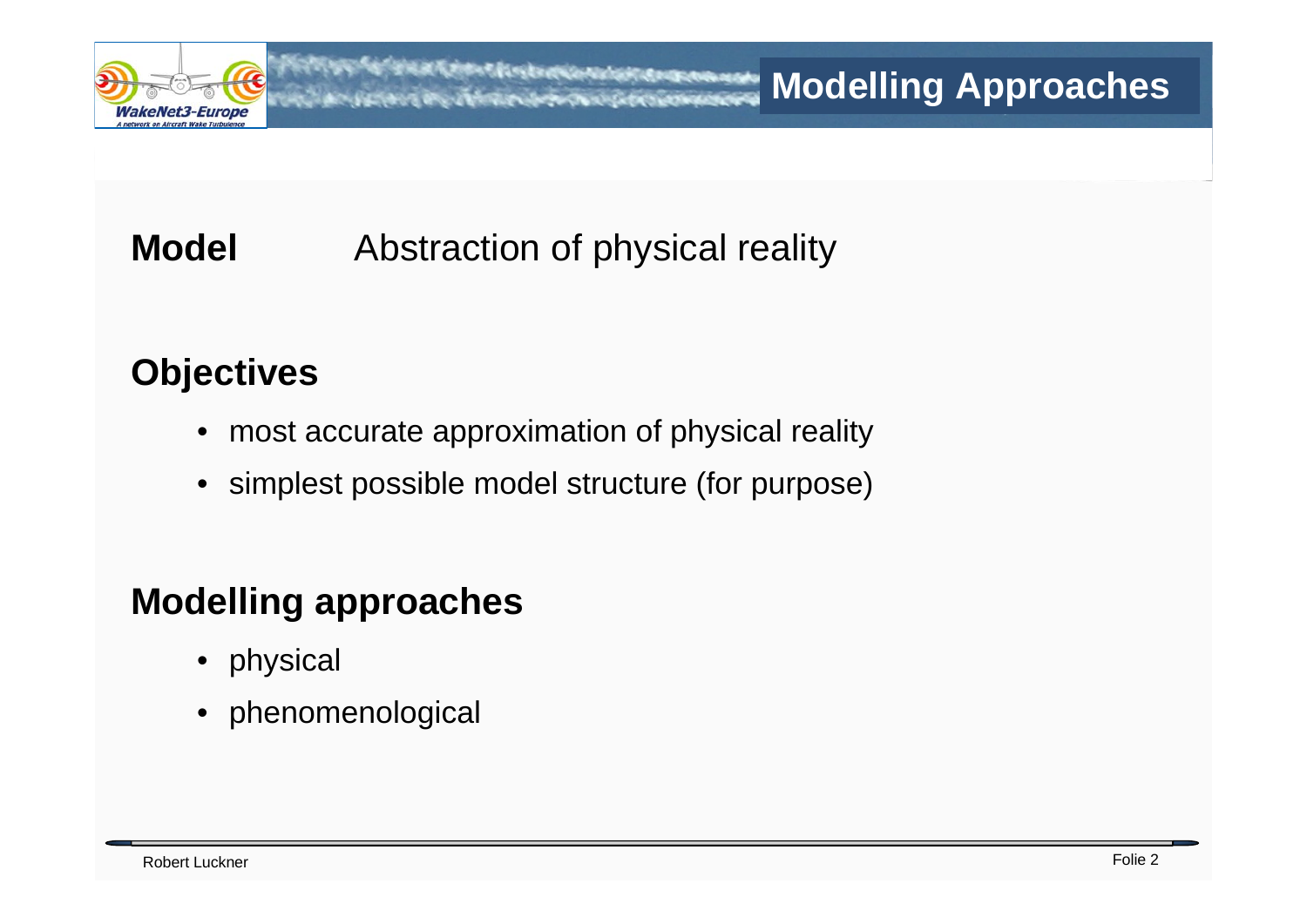

# **Model** Abstraction of physical reality

## **Objectives**

- most accurate approximation of physical reality
- simplest possible model structure (for purpose)

### **Modelling approaches**

- physical
- phenomenological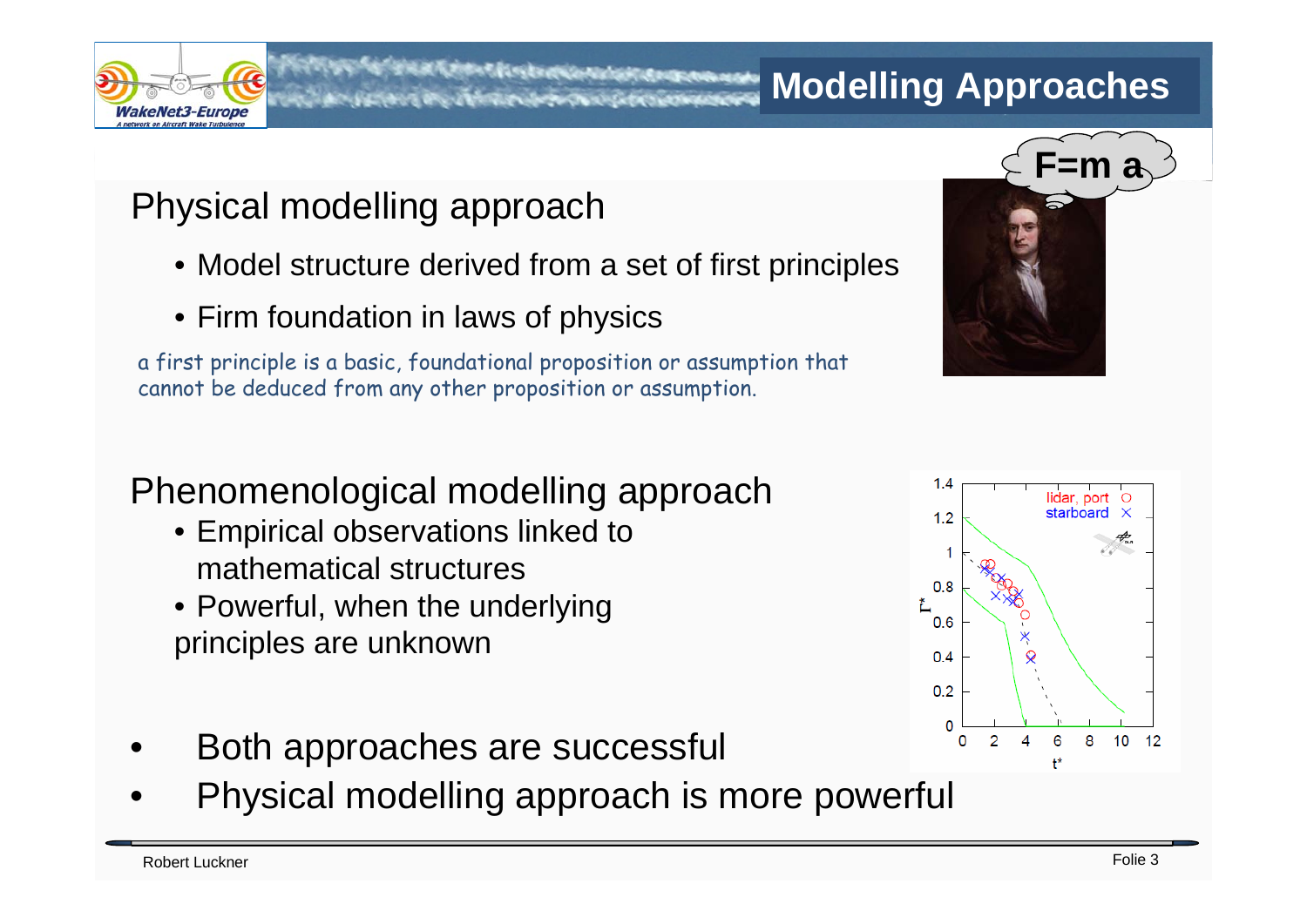

#### **Modelling Approaches**

# Physical modelling approach

- Model structure derived from a set of first principles
- Firm foundation in laws of physics

a first principle is a basic, foundational proposition or assumption that cannot be deduced from any other proposition or assumption.

# Phenomenological modelling approach

- Empirical observations linked to mathematical structures
- Powerful, when the underlying principles are unknown



- Both approaches are successful
- Physical modelling approach is more powerful

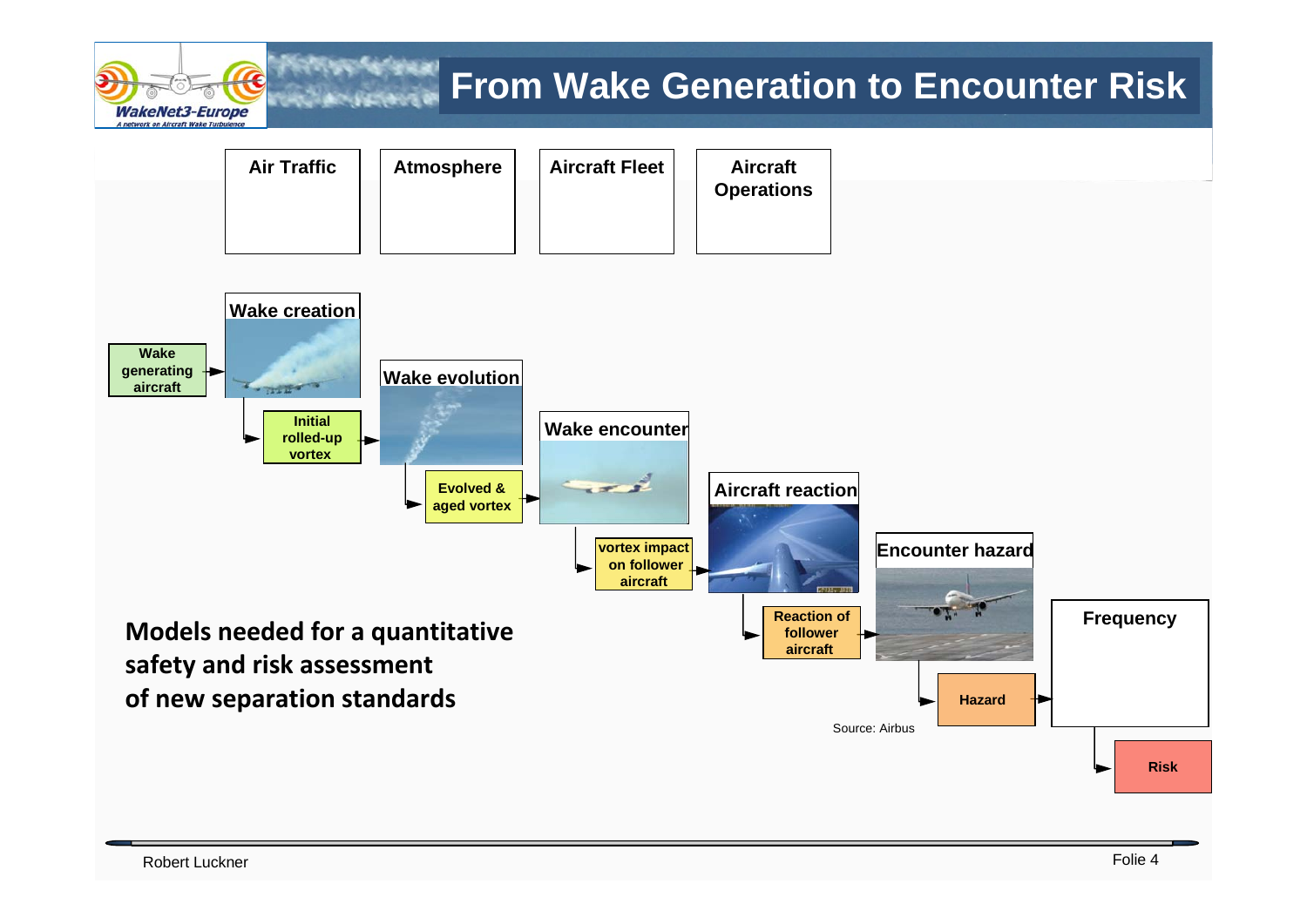

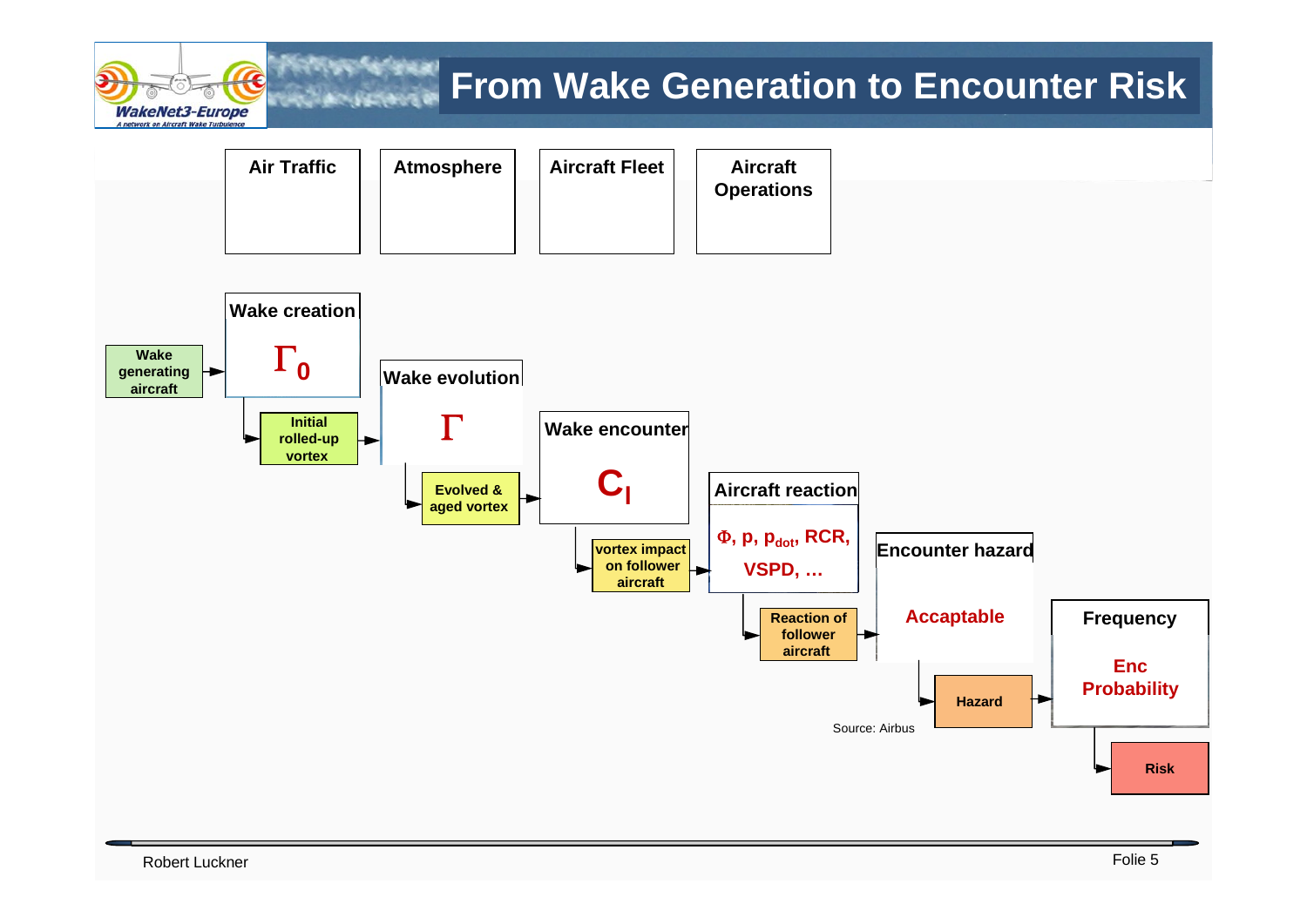

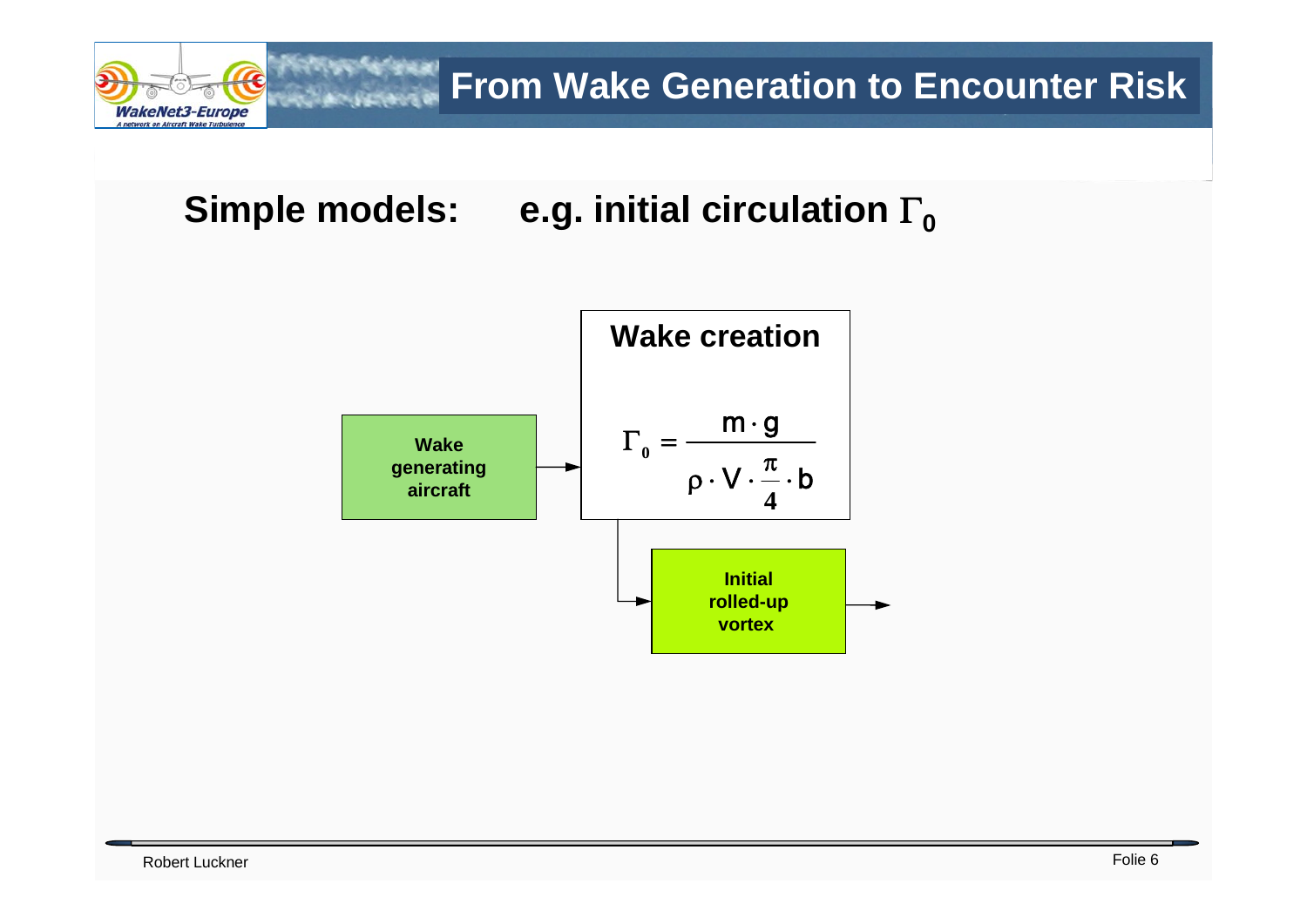

**Simple models: e.g. initial circulation** Γ<sub>0</sub>

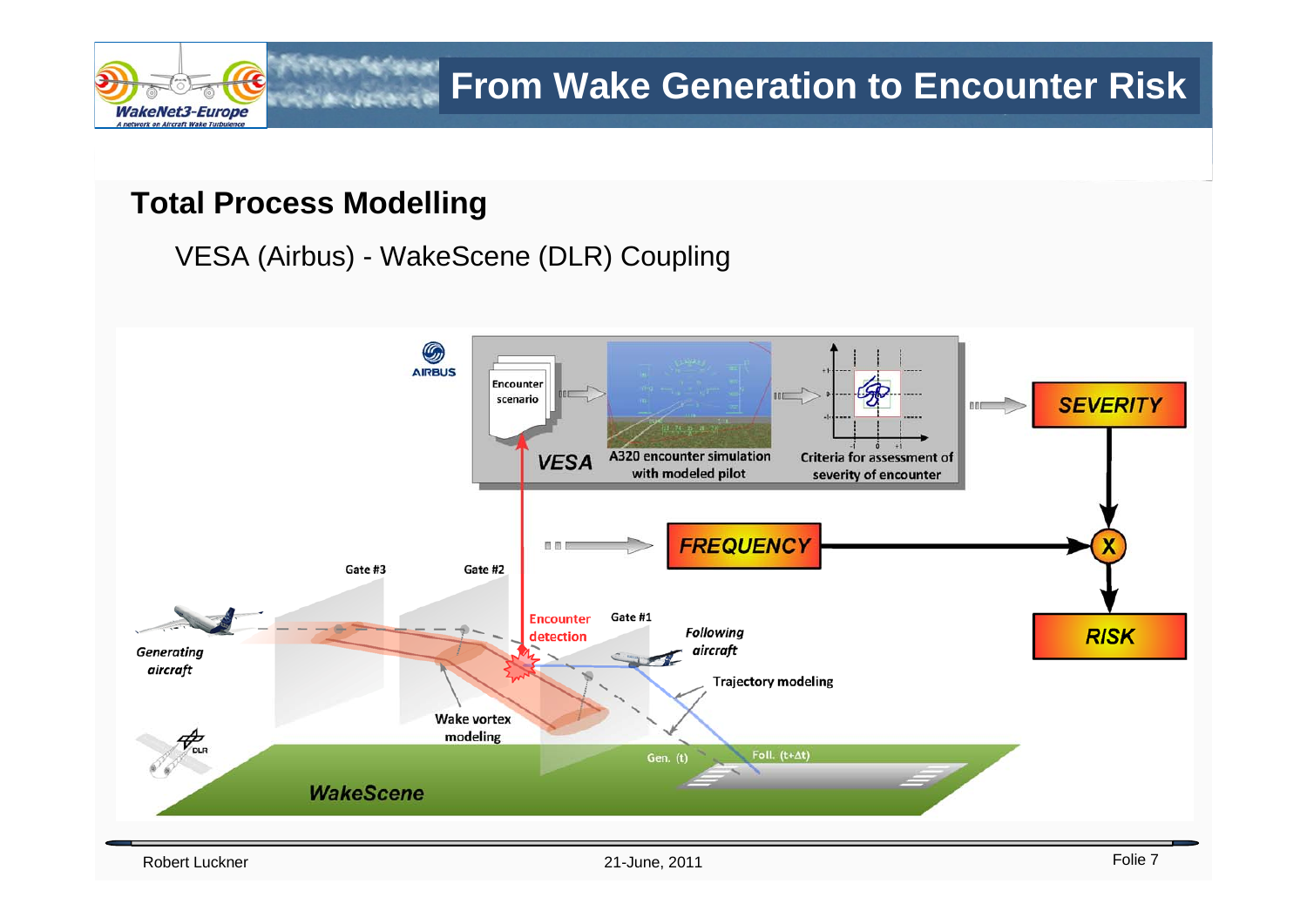

#### **Total Process Modelling**

VESA (Airbus) - WakeScene (DLR) Coupling